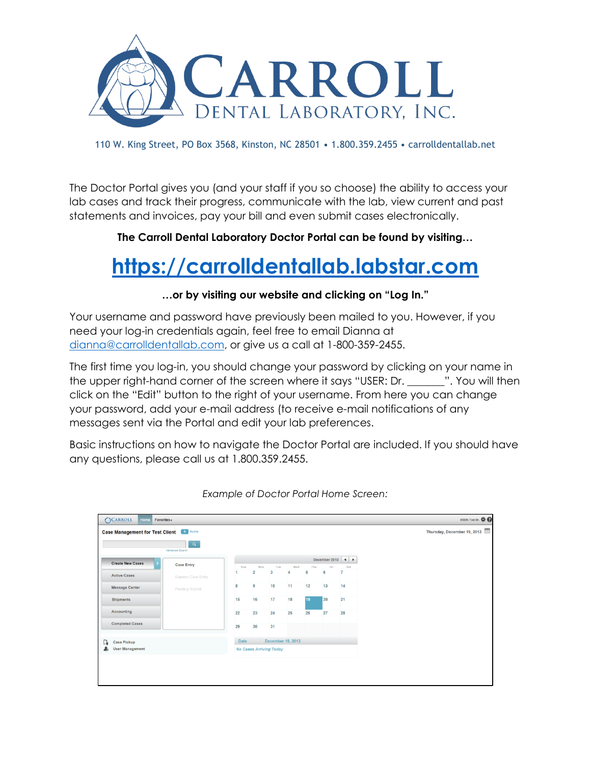

110 W. King Street, PO Box 3568, Kinston, NC 28501 • 1.800.359.2455 • carrolldentallab.net

The Doctor Portal gives you (and your staff if you so choose) the ability to access your lab cases and track their progress, communicate with the lab, view current and past statements and invoices, pay your bill and even submit cases electronically.

**The Carroll Dental Laboratory Doctor Portal can be found by visiting…**

## **[https://carrolldentallab.labstar.com](https://carrolldentallab.labstar.com/)**

## **…or by visiting our website and clicking on "Log In."**

Your username and password have previously been mailed to you. However, if you need your log-in credentials again, feel free to email Dianna at [dianna@carrolldentallab.com,](mailto:dianna@carrolldentallab.com) or give us a call at 1-800-359-2455.

The first time you log-in, you should change your password by clicking on your name in the upper right-hand corner of the screen where it says "USER: Dr. \_\_\_\_\_\_\_". You will then click on the "Edit" button to the right of your username. From here you can change your password, add your e-mail address (to receive e-mail notifications of any messages sent via the Portal and edit your lab preferences.

Basic instructions on how to navigate the Doctor Portal are included. If you should have any questions, please call us at 1.800.359.2455.



*Example of Doctor Portal Home Screen:*